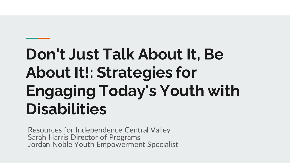# **Don't Just Talk About It, Be About It!: Strategies for Engaging Today's Youth with Disabilities**

Resources for Independence Central Valley Sarah Harris Director of Programs Jordan Noble Youth Empowerment Specialist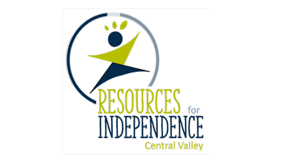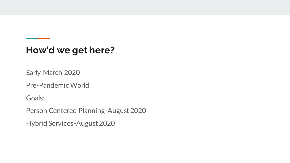#### **How'd we get here?**

Early March 2020

Pre-Pandemic World

Goals:

Person Centered Planning-August 2020

Hybrid Services-August 2020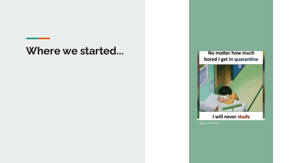#### **Where we started...**

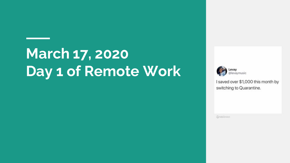## **March 17, 2020 Day 1 of Remote Work**



I saved over \$1,000 this month by switching to Quarantine.

Casachean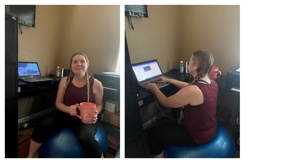

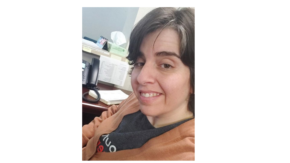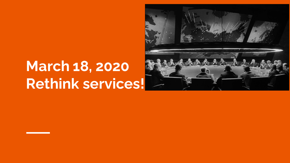

### **March 18, 2020 Rethink services!**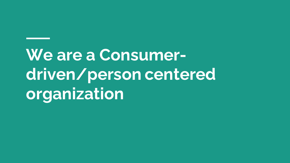**We are a Consumerdriven/person centered organization**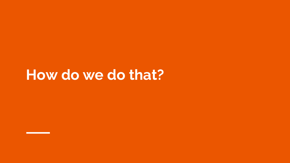### **How do we do that?**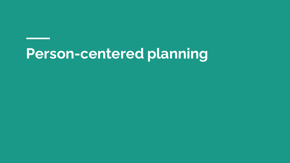## **Person-centered planning**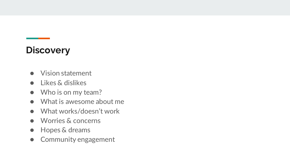#### **Discovery**

- Vision statement
- Likes & dislikes
- Who is on my team?
- What is awesome about me
- What works/doesn't work
- Worries & concerns
- Hopes & dreams
- Community engagement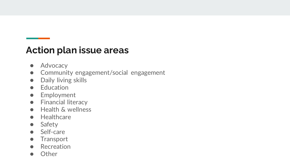#### **Action plan issue areas**

- Advocacy
- Community engagement/social engagement
- Daily living skills
- Education
- Employment
- Financial literacy
- Health & wellness
- Healthcare
- Safety
- Self-care
- Transport
- Recreation
- **Other**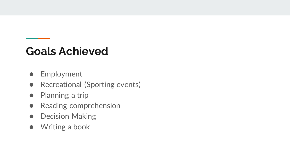### **Goals Achieved**

- Employment
- Recreational (Sporting events)
- Planning a trip
- Reading comprehension
- Decision Making
- Writing a book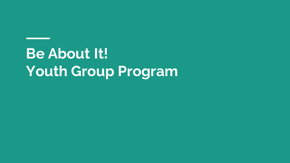## **Be About It! Youth Group Program**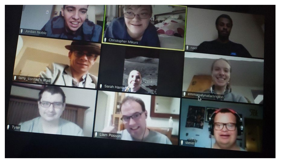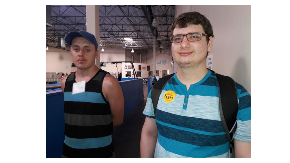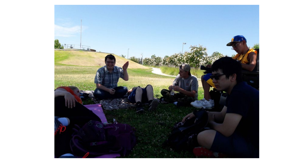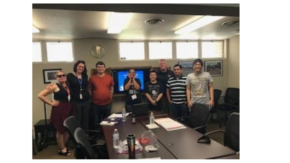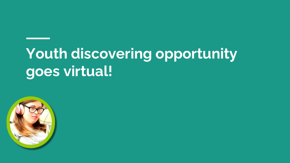

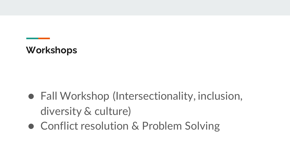#### **Workshops**

- Fall Workshop (Intersectionality, inclusion, diversity & culture)
- Conflict resolution & Problem Solving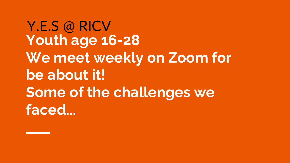**Youth age 16-28 We meet weekly on Zoom for be about it! Some of the challenges we faced...** Y.E.S @ RICV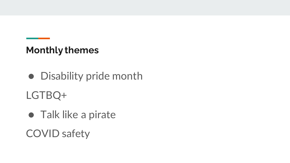#### **Monthly themes**

• Disability pride month LGTBQ+

● Talk like a pirate

COVID safety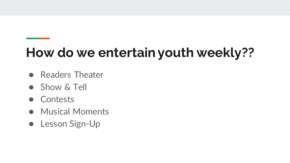### **How do we entertain youth weekly??**

- Readers Theater
- Show & Tell
- Contests
- Musical Moments
- Lesson Sign-Up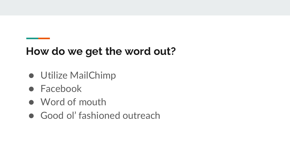### **How do we get the word out?**

- Utilize MailChimp
- Facebook
- Word of mouth
- Good ol' fashioned outreach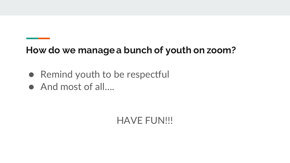#### **How do we manage a bunch of youth on zoom?**

- Remind youth to be respectful
- And most of all....

#### HAVE FUN!!!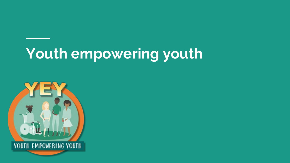## **Youth empowering youth**

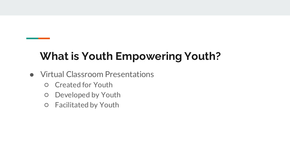### **What is Youth Empowering Youth?**

- Virtual Classroom Presentations
	- Created for Youth
	- Developed by Youth
	- Facilitated by Youth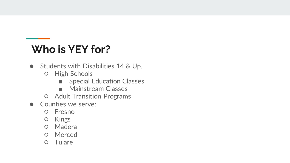### **Who is YEY for?**

- Students with Disabilities 14 & Up.
	- High Schools
		- Special Education Classes
		- Mainstream Classes
	- Adult Transition Programs
- Counties we serve:
	- Fresno
	- Kings
	- Madera
	- Merced
	- Tulare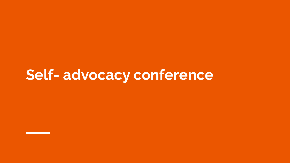### **Self- advocacy conference**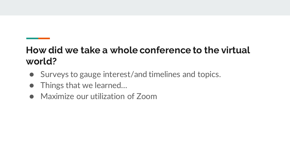### **How did we take a whole conference to the virtual world?**

- Surveys to gauge interest/and timelines and topics.
- Things that we learned...
- Maximize our utilization of Zoom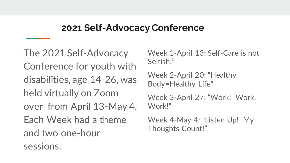#### **2021 Self-Advocacy Conference**

The 2021 Self-Advocacy Conference for youth with disabilities, age 14-26, was held virtually on Zoom over from April 13-May 4. Each Week had a theme and two one-hour sessions.

Week 1-April 13: Self-Care is not Selfish!"

Week 2-April 20: "Healthy Body=Healthy Life"

Week 3-April 27: "Work! Work! Work!"

Week 4-May 4: "Listen Up! My Thoughts Count!"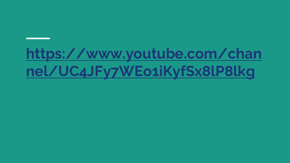## https://www.youtube.com/chan nel/UC4JFy7WEo1iKyfSx8lP8lkg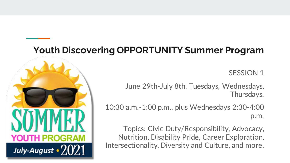#### **Youth Discovering OPPORTUNITY Summer Program**

#### SESSION 1

June 29th-July 8th, Tuesdays, Wednesdays, Thursdays.

10:30 a.m.-1:00 p.m., plus Wednesdays 2:30-4:00 p.m.

Topics: Civic Duty/Responsibility, Advocacy, Nutrition, Disability Pride, Career Exploration, Intersectionality, Diversity and Culture, and more.

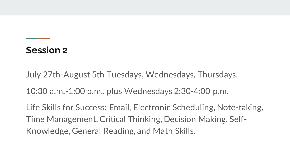#### **Session 2**

July 27th-August 5th Tuesdays, Wednesdays, Thursdays.

10:30 a.m.-1:00 p.m., plus Wednesdays 2:30-4:00 p.m.

Life Skills for Success: Email, Electronic Scheduling, Note-taking, Time Management, Critical Thinking, Decision Making, Self-Knowledge, General Reading, and Math Skills.